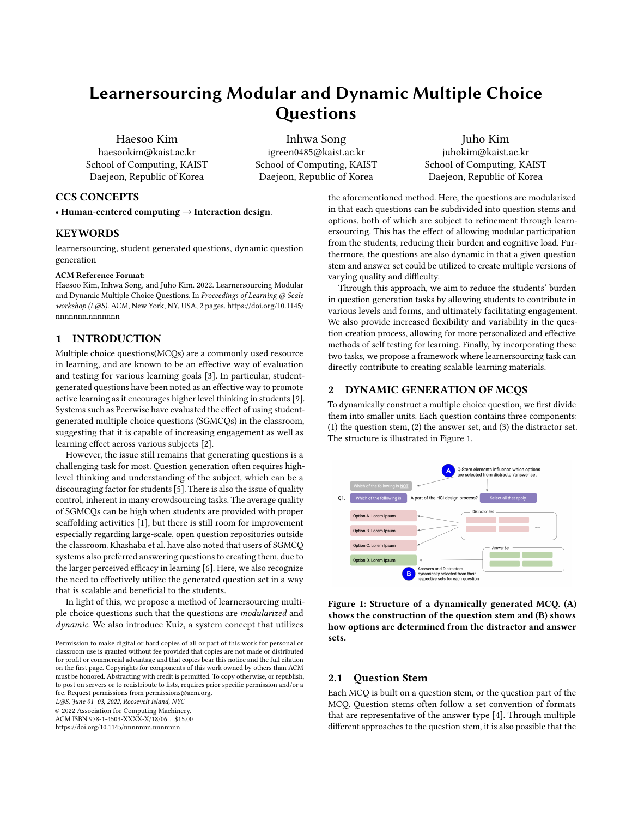# Learnersourcing Modular and Dynamic Multiple Choice **Questions**

Haesoo Kim haesookim@kaist.ac.kr School of Computing, KAIST Daejeon, Republic of Korea

Inhwa Song igreen0485@kaist.ac.kr School of Computing, KAIST Daejeon, Republic of Korea

Juho Kim juhokim@kaist.ac.kr School of Computing, KAIST Daejeon, Republic of Korea

the aforementioned method. Here, the questions are modularized in that each questions can be subdivided into question stems and options, both of which are subject to refinement through learnersourcing. This has the effect of allowing modular participation from the students, reducing their burden and cognitive load. Furthermore, the questions are also dynamic in that a given question stem and answer set could be utilized to create multiple versions of varying quality and difficulty.

Through this approach, we aim to reduce the students' burden in question generation tasks by allowing students to contribute in various levels and forms, and ultimately facilitating engagement. We also provide increased flexibility and variability in the question creation process, allowing for more personalized and effective methods of self testing for learning. Finally, by incorporating these two tasks, we propose a framework where learnersourcing task can directly contribute to creating scalable learning materials.

# 2 DYNAMIC GENERATION OF MCQS

To dynamically construct a multiple choice question, we first divide them into smaller units. Each question contains three components: (1) the question stem, (2) the answer set, and (3) the distractor set. The structure is illustrated in Figure [1.](#page-0-0)

<span id="page-0-0"></span>

Figure 1: Structure of a dynamically generated MCQ. (A) shows the construction of the question stem and (B) shows how options are determined from the distractor and answer sets.

## 2.1 Question Stem

Each MCQ is built on a question stem, or the question part of the MCQ. Question stems often follow a set convention of formats that are representative of the answer type [\[4\]](#page-1-7). Through multiple different approaches to the question stem, it is also possible that the

# CCS CONCEPTS

• Human-centered computing  $\rightarrow$  Interaction design.

# KEYWORDS

learnersourcing, student generated questions, dynamic question generation

#### ACM Reference Format:

Haesoo Kim, Inhwa Song, and Juho Kim. 2022. Learnersourcing Modular and Dynamic Multiple Choice Questions. In Proceedings of Learning @ Scale workshop (L@S). ACM, New York, NY, USA, [2](#page-1-0) pages. [https://doi.org/10.1145/](https://doi.org/10.1145/nnnnnnn.nnnnnnn) [nnnnnnn.nnnnnnn](https://doi.org/10.1145/nnnnnnn.nnnnnnn)

# 1 INTRODUCTION

Multiple choice questions(MCQs) are a commonly used resource in learning, and are known to be an effective way of evaluation and testing for various learning goals [\[3\]](#page-1-1). In particular, studentgenerated questions have been noted as an effective way to promote active learning as it encourages higher level thinking in students [\[9\]](#page-1-2). Systems such as Peerwise have evaluated the effect of using studentgenerated multiple choice questions (SGMCQs) in the classroom, suggesting that it is capable of increasing engagement as well as learning effect across various subjects [\[2\]](#page-1-3).

However, the issue still remains that generating questions is a challenging task for most. Question generation often requires highlevel thinking and understanding of the subject, which can be a discouraging factor for students [\[5\]](#page-1-4). There is also the issue of quality control, inherent in many crowdsourcing tasks. The average quality of SGMCQs can be high when students are provided with proper scaffolding activities [\[1\]](#page-1-5), but there is still room for improvement especially regarding large-scale, open question repositories outside the classroom. Khashaba et al. have also noted that users of SGMCQ systems also preferred answering questions to creating them, due to the larger perceived efficacy in learning [\[6\]](#page-1-6). Here, we also recognize the need to effectively utilize the generated question set in a way that is scalable and beneficial to the students.

In light of this, we propose a method of learnersourcing multiple choice questions such that the questions are modularized and dynamic. We also introduce Kuiz, a system concept that utilizes

Permission to make digital or hard copies of all or part of this work for personal or classroom use is granted without fee provided that copies are not made or distributed for profit or commercial advantage and that copies bear this notice and the full citation on the first page. Copyrights for components of this work owned by others than ACM must be honored. Abstracting with credit is permitted. To copy otherwise, or republish, to post on servers or to redistribute to lists, requires prior specific permission and/or a fee. Request permissions from permissions@acm.org.

L@S, June 01–03, 2022, Roosevelt Island, NYC

© 2022 Association for Computing Machinery.

ACM ISBN 978-1-4503-XXXX-X/18/06. . . \$15.00

<https://doi.org/10.1145/nnnnnnn.nnnnnnn>